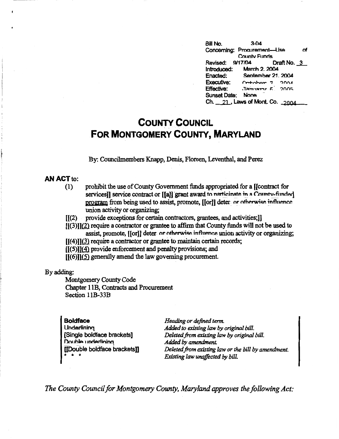**Bill No.** 3-04 Concerning: Procurement-Use of Countv Funds Revised: 9/17/04 Introduced: March 2. 2004<br>Enacted: September 21. September 21, 2004 Executive: Critichor 7 2004 Effective: .1amiary 6 2005 Sunset Date: None Ch.  $21$ , Laws of Mont. Co.  $2004$ 

# **COUNTY COUNCIL FOR MONTGOMERY COUNTY, MARYLAND**

By: Councilmembers Knapp, Denis, Floreen, Leventhal, and Perez

## **AN ACT** to:

- (1) prohibit the use of County Government funds appropriated for a [(contract for services]] service contract or [[a]] grant award to narticinate in a County-funded program from being used to assist, promote, [[or]] deter or otherwise influence union activity or organizing;
- [[(2) provide exceptions for certain contractors, grantees, and activities;)]
- $[[(3)]](2)$  require a contractor or grantee to affirm that County funds will not be used to assist, promote, [[or]] deter or otherwise influence union activity or organizing;
- $[[(4)][(3)]$  require a contractor or grantee to maintain certain records;
- $[[(5)]](4)$  provide enforcement and penalty provisions; and
- $[[(6)]](5)$  generally amend the law governing procurement.

#### By adding:

Montgomery County Code Chapter 1 lB, Contracts and Procurement Section 11B-33B

| <b>Boldface</b>              | Heading or defined term.                                                                |
|------------------------------|-----------------------------------------------------------------------------------------|
| <b>Underlining</b>           | Added to existing law by original bill.                                                 |
| Single boldface brackets]    | Deleted from existing law by original bill.                                             |
| Double underlining           | Added by amendment.                                                                     |
| [[Double boldface brackets]] | Deleted from existing law or the bill by amendment.<br>Existing law unaffected by bill. |

*The County Council for Montgomery County, Maryland approves the following Act:*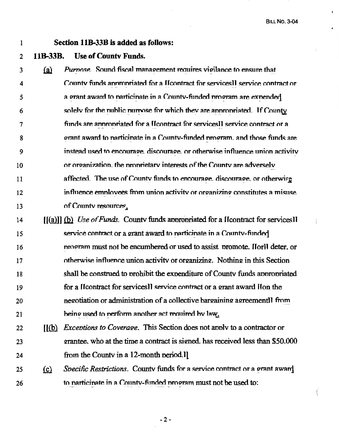### $\mathbf{1}$

### Section 11B-33B is added as follows:

#### **Use of County Funds.** 11**R-33R**  $\overline{2}$

Purnose. Sound fiscal management requires vigilance to ensure that  $\overline{\mathbf{3}}$  $(a)$ County funds appropriated for a Heontract for services ll service contract or  $\boldsymbol{4}$ a grant award to narticinate in a County-funded program are expended 5 solely for the public purpose for which they are appropriated. If County 6 funds are appropriated for a Heontract for services]] service contract or a  $\overline{7}$ grant award to participate in a County-funded program, and those funds are 8 instead used to encourage, discourage, or otherwise influence union activity 9 or organization, the proprietary interests of the County are adversely  $10$ affected. The use of County funds to encourage, discourage, or otherwise 11 influence employees from union activity or organizing constitutes a misuse  $12$ of County resources. 13  $[(a)]$ ] (b) Use of Funds. County funds appropriated for a Heontract for services]  $14$ service contract or a grant award to narticinate in a County-funded 15 program must not be encumbered or used to assist promote. Horll deter, or 16

- otherwise influence union activity or organizing. Nothing in this Section  $17$ shall be construed to prohibit the expenditure of County funds appropriated 18 for a Heontract for services] service contract or a grant award Hon the 19 negotiation or administration of a collective bargaining agreement]] from 20 being used to perform another act required by law. 21
- [6] Exceptions to Coverage. This Section does not apply to a contractor or  $22$ grantee, who at the time a contract is signed, has received less than \$50,000 23 from the County in a 12-month period. 24
- Specific Restrictions. County funds for a service contract or a grant award  $(c)$ 25 to participate in a County-funded program must not be used to: 26

 $-2-$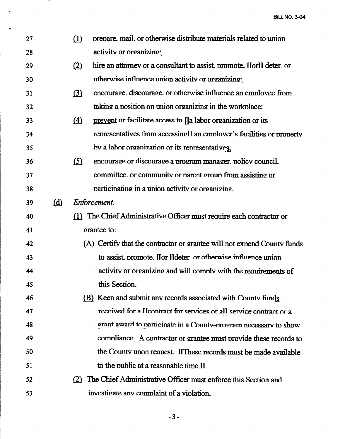| 27 |                                                              | (1)        | prepare, mail, or otherwise distribute materials related to union         |
|----|--------------------------------------------------------------|------------|---------------------------------------------------------------------------|
| 28 |                                                              |            | activity or organizing:                                                   |
| 29 |                                                              | (2)        | hire an attorney or a consultant to assist, promote. Horll deter, or      |
| 30 |                                                              |            | otherwise influence union activity or organizing:                         |
| 31 |                                                              | $\Omega$   | encourage, discourage, or otherwise influence an employee from            |
| 32 |                                                              |            | taking a position on union organizing in the workplace:                   |
| 33 |                                                              | $\Delta$   | prevent or facilitate access to [[a labor organization or its             |
| 34 |                                                              |            | representatives from accessing lan employer's facilities or property      |
| 35 |                                                              |            | by a labor organization or its representatives:                           |
| 36 |                                                              | <u>(5)</u> | encourage or discourage a program manager, policy council.                |
| 37 |                                                              |            | committee, or community or parent group from assisting or                 |
| 38 |                                                              |            | participating in a union activity or organizing.                          |
| 39 | (d)                                                          |            | Enforcement.                                                              |
| 40 |                                                              |            | (1) The Chief Administrative Officer must require each contractor or      |
| 41 |                                                              |            | grantee to:                                                               |
| 42 |                                                              |            | $(A)$ Certify that the contractor or grantee will not expend County funds |
| 43 |                                                              |            | to assist promote. Hor Ildeter, or otherwise influence union              |
| 44 |                                                              |            | activity or organizing and will comply with the requirements of           |
| 45 |                                                              |            | this Section.                                                             |
| 46 | (B) Keep and submit any records associated with County funds |            |                                                                           |
| 47 |                                                              |            | received for a Heontract for services or all service contract or a        |
| 48 |                                                              |            | grant award to participate in a County-program necessary to show          |
| 49 |                                                              |            | compliance. A contractor or grantee must provide these records to         |
| 50 |                                                              |            | the County upon request. If These records must be made available          |
| 51 |                                                              |            | to the public at a reasonable time.                                       |
| 52 |                                                              |            | (2) The Chief Administrative Officer must enforce this Section and        |
| 53 |                                                              |            | investigate any complaint of a violation.                                 |

 $\mathbf{I}$ 

 $\ddot{\phantom{a}}$ 

 $-3-$